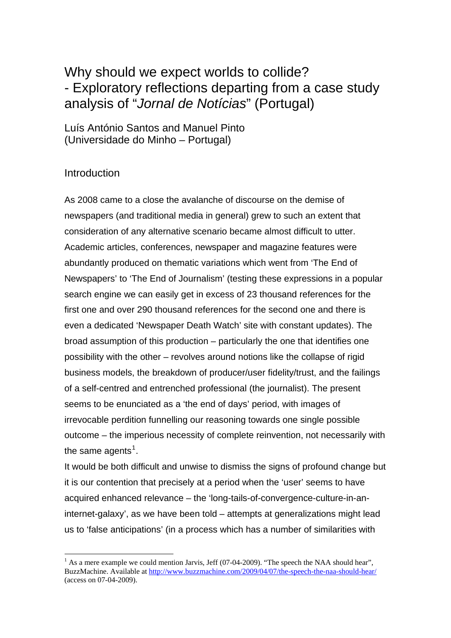# Why should we expect worlds to collide? - Exploratory reflections departing from a case study analysis of "*Jornal de Notícias*" (Portugal)

Luís António Santos and Manuel Pinto (Universidade do Minho – Portugal)

## Introduction

1

As 2008 came to a close the avalanche of discourse on the demise of newspapers (and traditional media in general) grew to such an extent that consideration of any alternative scenario became almost difficult to utter. Academic articles, conferences, newspaper and magazine features were abundantly produced on thematic variations which went from 'The End of Newspapers' to 'The End of Journalism' (testing these expressions in a popular search engine we can easily get in excess of 23 thousand references for the first one and over 290 thousand references for the second one and there is even a dedicated 'Newspaper Death Watch' site with constant updates). The broad assumption of this production – particularly the one that identifies one possibility with the other – revolves around notions like the collapse of rigid business models, the breakdown of producer/user fidelity/trust, and the failings of a self-centred and entrenched professional (the journalist). The present seems to be enunciated as a 'the end of days' period, with images of irrevocable perdition funnelling our reasoning towards one single possible outcome – the imperious necessity of complete reinvention, not necessarily with the same agents<sup>[1](#page-0-0)</sup>.

It would be both difficult and unwise to dismiss the signs of profound change but it is our contention that precisely at a period when the 'user' seems to have acquired enhanced relevance – the 'long-tails-of-convergence-culture-in-aninternet-galaxy', as we have been told – attempts at generalizations might lead us to 'false anticipations' (in a process which has a number of similarities with

<span id="page-0-0"></span> $<sup>1</sup>$  As a mere example we could mention Jarvis, Jeff (07-04-2009). "The speech the NAA should hear",</sup> BuzzMachine. Available at <http://www.buzzmachine.com/2009/04/07/the-speech-the-naa-should-hear/> (access on 07-04-2009).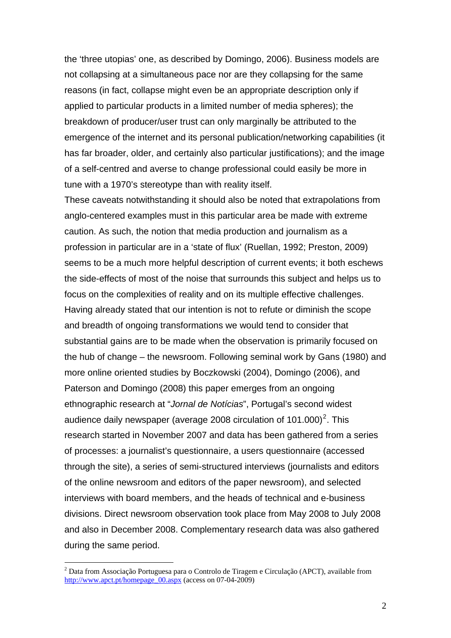the 'three utopias' one, as described by Domingo, 2006). Business models are not collapsing at a simultaneous pace nor are they collapsing for the same reasons (in fact, collapse might even be an appropriate description only if applied to particular products in a limited number of media spheres); the breakdown of producer/user trust can only marginally be attributed to the emergence of the internet and its personal publication/networking capabilities (it has far broader, older, and certainly also particular justifications); and the image of a self-centred and averse to change professional could easily be more in tune with a 1970's stereotype than with reality itself.

These caveats notwithstanding it should also be noted that extrapolations from anglo-centered examples must in this particular area be made with extreme caution. As such, the notion that media production and journalism as a profession in particular are in a 'state of flux' (Ruellan, 1992; Preston, 2009) seems to be a much more helpful description of current events; it both eschews the side-effects of most of the noise that surrounds this subject and helps us to focus on the complexities of reality and on its multiple effective challenges. Having already stated that our intention is not to refute or diminish the scope and breadth of ongoing transformations we would tend to consider that substantial gains are to be made when the observation is primarily focused on the hub of change – the newsroom. Following seminal work by Gans (1980) and more online oriented studies by Boczkowski (2004), Domingo (2006), and Paterson and Domingo (2008) this paper emerges from an ongoing ethnographic research at "*Jornal de Notícias*", Portugal's second widest audience daily newspaper (average [2](#page-1-0)008 circulation of 101.000)<sup>2</sup>. This research started in November 2007 and data has been gathered from a series of processes: a journalist's questionnaire, a users questionnaire (accessed through the site), a series of semi-structured interviews (journalists and editors of the online newsroom and editors of the paper newsroom), and selected interviews with board members, and the heads of technical and e-business divisions. Direct newsroom observation took place from May 2008 to July 2008 and also in December 2008. Complementary research data was also gathered during the same period.

<span id="page-1-0"></span><sup>2</sup> Data from Associação Portuguesa para o Controlo de Tiragem e Circulação (APCT), available from [http://www.apct.pt/homepage\\_00.aspx](http://www.apct.pt/homepage_00.aspx) (access on 07-04-2009)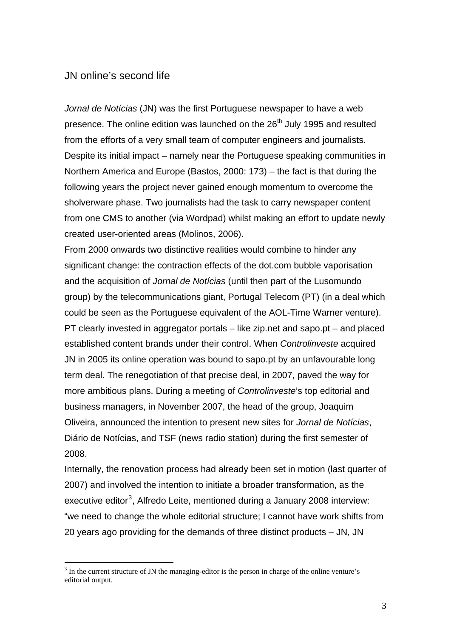## JN online's second life

1

*Jornal de Notícias* (JN) was the first Portuguese newspaper to have a web presence. The online edition was launched on the  $26<sup>th</sup>$  July 1995 and resulted from the efforts of a very small team of computer engineers and journalists. Despite its initial impact – namely near the Portuguese speaking communities in Northern America and Europe (Bastos, 2000: 173) – the fact is that during the following years the project never gained enough momentum to overcome the sholverware phase. Two journalists had the task to carry newspaper content from one CMS to another (via Wordpad) whilst making an effort to update newly created user-oriented areas (Molinos, 2006).

From 2000 onwards two distinctive realities would combine to hinder any significant change: the contraction effects of the dot.com bubble vaporisation and the acquisition of *Jornal de Notícias* (until then part of the Lusomundo group) by the telecommunications giant, Portugal Telecom (PT) (in a deal which could be seen as the Portuguese equivalent of the AOL-Time Warner venture). PT clearly invested in aggregator portals – like zip.net and sapo.pt – and placed established content brands under their control. When *Controlinveste* acquired JN in 2005 its online operation was bound to sapo.pt by an unfavourable long term deal. The renegotiation of that precise deal, in 2007, paved the way for more ambitious plans. During a meeting of *Controlinveste*'s top editorial and business managers, in November 2007, the head of the group, Joaquim Oliveira, announced the intention to present new sites for *Jornal de Notícias*, Diário de Notícias, and TSF (news radio station) during the first semester of 2008.

Internally, the renovation process had already been set in motion (last quarter of 2007) and involved the intention to initiate a broader transformation, as the executive editor<sup>[3](#page-2-0)</sup>, Alfredo Leite, mentioned during a January 2008 interview: "we need to change the whole editorial structure; I cannot have work shifts from 20 years ago providing for the demands of three distinct products – JN, JN

<span id="page-2-0"></span> $3$  In the current structure of JN the managing-editor is the person in charge of the online venture's editorial output.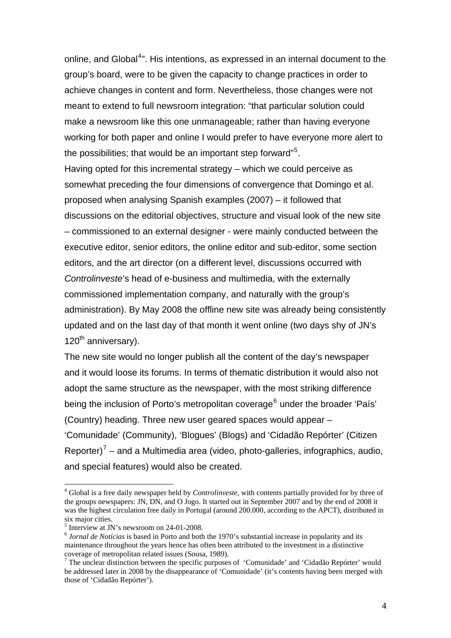online, and Global<sup>[4](#page-3-0)</sup>". His intentions, as expressed in an internal document to the group's board, were to be given the capacity to change practices in order to achieve changes in content and form. Nevertheless, those changes were not meant to extend to full newsroom integration: "that particular solution could make a newsroom like this one unmanageable; rather than having everyone working for both paper and online I would prefer to have everyone more alert to the possibilities; that would be an important step forward"<sup>[5](#page-3-1)</sup>.

Having opted for this incremental strategy – which we could perceive as somewhat preceding the four dimensions of convergence that Domingo et al. proposed when analysing Spanish examples (2007) – it followed that discussions on the editorial objectives, structure and visual look of the new site – commissioned to an external designer - were mainly conducted between the executive editor, senior editors, the online editor and sub-editor, some section editors, and the art director (on a different level, discussions occurred with *Controlinveste*'s head of e-business and multimedia, with the externally commissioned implementation company, and naturally with the group's administration). By May 2008 the offline new site was already being consistently updated and on the last day of that month it went online (two days shy of JN's 120<sup>th</sup> anniversary).

The new site would no longer publish all the content of the day's newspaper and it would loose its forums. In terms of thematic distribution it would also not adopt the same structure as the newspaper, with the most striking difference being the inclusion of Porto's metropolitan coverage<sup>[6](#page-3-2)</sup> under the broader 'País' (Country) heading. Three new user geared spaces would appear – 'Comunidade' (Community), 'Blogues' (Blogs) and 'Cidadão Repórter' (Citizen Reporter)<sup>[7](#page-3-3)</sup> – and a Multimedia area (video, photo-galleries, infographics, audio, and special features) would also be created.

<span id="page-3-0"></span><sup>4</sup> Global is a free daily newspaper held by *Controlinveste*, with contents partially provided for by three of the groups newspapers: JN, DN, and O Jogo. It started out in September 2007 and by the end of 2008 it was the highest circulation free daily in Portugal (around 200.000, according to the APCT), distributed in six major cities.

<span id="page-3-1"></span><sup>&</sup>lt;sup>5</sup> Interview at JN's newsroom on 24-01-2008.

<span id="page-3-2"></span><sup>6</sup> *Jornal de Notícias* is based in Porto and both the 1970's substantial increase in popularity and its maintenance throughout the years hence has often been attributed to the investment in a distinctive coverage of metropolitan related issues (Sousa, 1989).

<span id="page-3-3"></span><sup>&</sup>lt;sup>7</sup> The unclear distinction between the specific purposes of 'Comunidade' and 'Cidadão Repórter' would be addressed later in 2008 by the disappearance of 'Comunidade' (it's contents having been merged with those of 'Cidadão Repórter').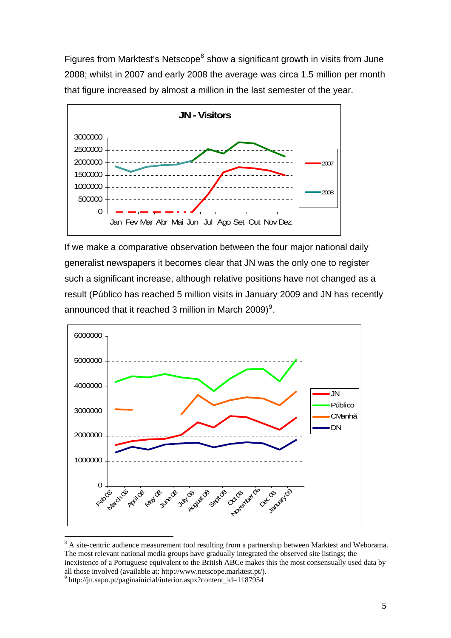Figures from Marktest's Netscope $<sup>8</sup>$  $<sup>8</sup>$  $<sup>8</sup>$  show a significant growth in visits from June</sup> 2008; whilst in 2007 and early 2008 the average was circa 1.5 million per month that figure increased by almost a million in the last semester of the year.



If we make a comparative observation between the four major national daily generalist newspapers it becomes clear that JN was the only one to register such a significant increase, although relative positions have not changed as a result (Público has reached 5 million visits in January 2009 and JN has recently announced that it reached 3 million in March 200[9](#page-4-1))<sup>9</sup>.



<span id="page-4-0"></span><sup>&</sup>lt;sup>8</sup> A site-centric audience measurement tool resulting from a partnership between Marktest and Weborama. The most relevant national media groups have gradually integrated the observed site listings; the

inexistence of a Portuguese equivalent to the British ABCe makes this the most consensually used data by all those involved (available at: http://www.netscope.marktest.pt/).

<span id="page-4-1"></span><sup>9</sup> http://jn.sapo.pt/paginainicial/interior.aspx?content\_id=1187954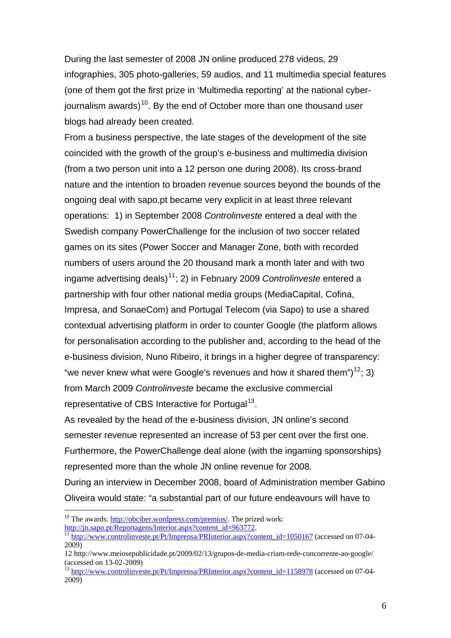During the last semester of 2008 JN online produced 278 videos, 29 infographies, 305 photo-galleries, 59 audios, and 11 multimedia special features (one of them got the first prize in 'Multimedia reporting' at the national cyber-journalism awards)<sup>[10](#page-5-0)</sup>. By the end of October more than one thousand user blogs had already been created.

From a business perspective, the late stages of the development of the site coincided with the growth of the group's e-business and multimedia division (from a two person unit into a 12 person one during 2008). Its cross-brand nature and the intention to broaden revenue sources beyond the bounds of the ongoing deal with sapo.pt became very explicit in at least three relevant operations: 1) in September 2008 *Controlinveste* entered a deal with the Swedish company PowerChallenge for the inclusion of two soccer related games on its sites (Power Soccer and Manager Zone, both with recorded numbers of users around the 20 thousand mark a month later and with two ingame advertising deals)[11](#page-5-1); 2) in February 2009 *Controlinveste* entered a partnership with four other national media groups (MediaCapital, Cofina, Impresa, and SonaeCom) and Portugal Telecom (via Sapo) to use a shared contextual advertising platform in order to counter Google (the platform allows for personalisation according to the publisher and, according to the head of the e-business division, Nuno Ribeiro, it brings in a higher degree of transparency: "we never knew what were Google's revenues and how it shared them")<sup>[12](#page-5-2)</sup>; 3) from March 2009 *Controlinveste* became the exclusive commercial representative of CBS Interactive for Portugal $^{13}$  $^{13}$  $^{13}$ .

As revealed by the head of the e-business division, JN online's second semester revenue represented an increase of 53 per cent over the first one. Furthermore, the PowerChallenge deal alone (with the ingaming sponsorships) represented more than the whole JN online revenue for 2008.

During an interview in December 2008, board of Administration member Gabino Oliveira would state: "a substantial part of our future endeavours will have to

<span id="page-5-0"></span><sup>&</sup>lt;sup>10</sup> The awards:  $\frac{http://obciber.wordpress.com/premios/}{http://in.sapo.pt/Reportagens/Interior.aspx?}$  The prized work:

<span id="page-5-1"></span> $\frac{11 \text{ http://www.controlinvestept/Pt/Imprensa/PRInterior.aspx?content_id=1050167}}{11 \text{http://www.controlinvestept/Pt/Imprensa/PRInterior.aspx?content_id=1050167}}$  $\frac{11 \text{ http://www.controlinvestept/Pt/Imprensa/PRInterior.aspx?content_id=1050167}}{11 \text{http://www.controlinvestept/Pt/Imprensa/PRInterior.aspx?content_id=1050167}}$  $\frac{11 \text{ http://www.controlinvestept/Pt/Imprensa/PRInterior.aspx?content_id=1050167}}{11 \text{http://www.controlinvestept/Pt/Imprensa/PRInterior.aspx?content_id=1050167}}$  (accessed on 07-04-2009)

<span id="page-5-2"></span><sup>12</sup> http://www.meiosepublicidade.pt/2009/02/13/grupos-de-media-criam-rede-concorrente-ao-google/ (accessed on 13-02-2009)

<span id="page-5-3"></span><sup>&</sup>lt;sup>13</sup> [http://www.controlinveste.pt/Pt/Imprensa/PRInterior.aspx?content\\_id=1158978](http://www.controlinveste.pt/Pt/Imprensa/PRInterior.aspx?content_id=1158978) (accessed on 07-04-2009)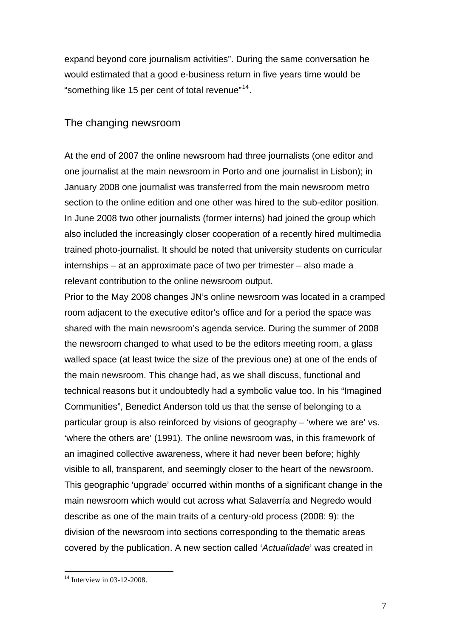expand beyond core journalism activities". During the same conversation he would estimated that a good e-business return in five years time would be "something like 15 per cent of total revenue"<sup>[14](#page-6-0)</sup>.

## The changing newsroom

At the end of 2007 the online newsroom had three journalists (one editor and one journalist at the main newsroom in Porto and one journalist in Lisbon); in January 2008 one journalist was transferred from the main newsroom metro section to the online edition and one other was hired to the sub-editor position. In June 2008 two other journalists (former interns) had joined the group which also included the increasingly closer cooperation of a recently hired multimedia trained photo-journalist. It should be noted that university students on curricular internships – at an approximate pace of two per trimester – also made a relevant contribution to the online newsroom output.

Prior to the May 2008 changes JN's online newsroom was located in a cramped room adjacent to the executive editor's office and for a period the space was shared with the main newsroom's agenda service. During the summer of 2008 the newsroom changed to what used to be the editors meeting room, a glass walled space (at least twice the size of the previous one) at one of the ends of the main newsroom. This change had, as we shall discuss, functional and technical reasons but it undoubtedly had a symbolic value too. In his "Imagined Communities", Benedict Anderson told us that the sense of belonging to a particular group is also reinforced by visions of geography – 'where we are' vs. 'where the others are' (1991). The online newsroom was, in this framework of an imagined collective awareness, where it had never been before; highly visible to all, transparent, and seemingly closer to the heart of the newsroom. This geographic 'upgrade' occurred within months of a significant change in the main newsroom which would cut across what Salaverría and Negredo would describe as one of the main traits of a century-old process (2008: 9): the division of the newsroom into sections corresponding to the thematic areas covered by the publication. A new section called '*Actualidade*' was created in

<span id="page-6-0"></span><sup>1</sup> <sup>14</sup> Interview in 03-12-2008.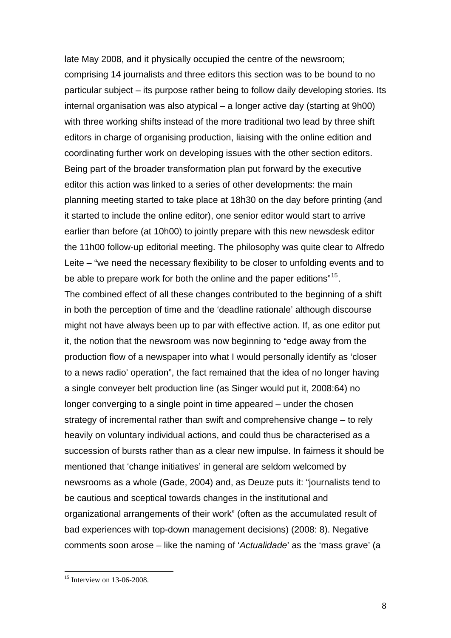late May 2008, and it physically occupied the centre of the newsroom; comprising 14 journalists and three editors this section was to be bound to no particular subject – its purpose rather being to follow daily developing stories. Its internal organisation was also atypical – a longer active day (starting at 9h00) with three working shifts instead of the more traditional two lead by three shift editors in charge of organising production, liaising with the online edition and coordinating further work on developing issues with the other section editors. Being part of the broader transformation plan put forward by the executive editor this action was linked to a series of other developments: the main planning meeting started to take place at 18h30 on the day before printing (and it started to include the online editor), one senior editor would start to arrive earlier than before (at 10h00) to jointly prepare with this new newsdesk editor the 11h00 follow-up editorial meeting. The philosophy was quite clear to Alfredo Leite – "we need the necessary flexibility to be closer to unfolding events and to be able to prepare work for both the online and the paper editions"<sup>[15](#page-7-0)</sup>.

The combined effect of all these changes contributed to the beginning of a shift in both the perception of time and the 'deadline rationale' although discourse might not have always been up to par with effective action. If, as one editor put it, the notion that the newsroom was now beginning to "edge away from the production flow of a newspaper into what I would personally identify as 'closer to a news radio' operation", the fact remained that the idea of no longer having a single conveyer belt production line (as Singer would put it, 2008:64) no longer converging to a single point in time appeared – under the chosen strategy of incremental rather than swift and comprehensive change – to rely heavily on voluntary individual actions, and could thus be characterised as a succession of bursts rather than as a clear new impulse. In fairness it should be mentioned that 'change initiatives' in general are seldom welcomed by newsrooms as a whole (Gade, 2004) and, as Deuze puts it: "journalists tend to be cautious and sceptical towards changes in the institutional and organizational arrangements of their work" (often as the accumulated result of bad experiences with top-down management decisions) (2008: 8). Negative comments soon arose – like the naming of '*Actualidade*' as the 'mass grave' (a

<span id="page-7-0"></span><sup>&</sup>lt;sup>15</sup> Interview on 13-06-2008.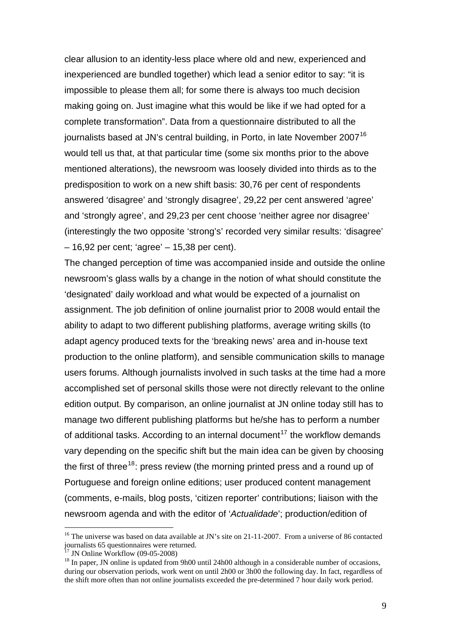clear allusion to an identity-less place where old and new, experienced and inexperienced are bundled together) which lead a senior editor to say: "it is impossible to please them all; for some there is always too much decision making going on. Just imagine what this would be like if we had opted for a complete transformation". Data from a questionnaire distributed to all the journalists based at JN's central building, in Porto, in late November  $2007^{16}$  $2007^{16}$  $2007^{16}$ would tell us that, at that particular time (some six months prior to the above mentioned alterations), the newsroom was loosely divided into thirds as to the predisposition to work on a new shift basis: 30,76 per cent of respondents answered 'disagree' and 'strongly disagree', 29,22 per cent answered 'agree' and 'strongly agree', and 29,23 per cent choose 'neither agree nor disagree' (interestingly the two opposite 'strong's' recorded very similar results: 'disagree' – 16,92 per cent; 'agree' – 15,38 per cent).

The changed perception of time was accompanied inside and outside the online newsroom's glass walls by a change in the notion of what should constitute the 'designated' daily workload and what would be expected of a journalist on assignment. The job definition of online journalist prior to 2008 would entail the ability to adapt to two different publishing platforms, average writing skills (to adapt agency produced texts for the 'breaking news' area and in-house text production to the online platform), and sensible communication skills to manage users forums. Although journalists involved in such tasks at the time had a more accomplished set of personal skills those were not directly relevant to the online edition output. By comparison, an online journalist at JN online today still has to manage two different publishing platforms but he/she has to perform a number of additional tasks. According to an internal document<sup>[17](#page-8-1)</sup> the workflow demands vary depending on the specific shift but the main idea can be given by choosing the first of three<sup>[18](#page-8-2)</sup>: press review (the morning printed press and a round up of Portuguese and foreign online editions; user produced content management (comments, e-mails, blog posts, 'citizen reporter' contributions; liaison with the newsroom agenda and with the editor of '*Actualidade*'; production/edition of

<span id="page-8-0"></span><sup>&</sup>lt;sup>16</sup> The universe was based on data available at JN's site on 21-11-2007. From a universe of 86 contacted journalists 65 questionnaires were returned.

<span id="page-8-1"></span><sup>17</sup> JN Online Workflow (09-05-2008)

<span id="page-8-2"></span><sup>&</sup>lt;sup>18</sup> In paper, JN online is updated from 9h00 until 24h00 although in a considerable number of occasions, during our observation periods, work went on until 2h00 or 3h00 the following day. In fact, regardless of the shift more often than not online journalists exceeded the pre-determined 7 hour daily work period.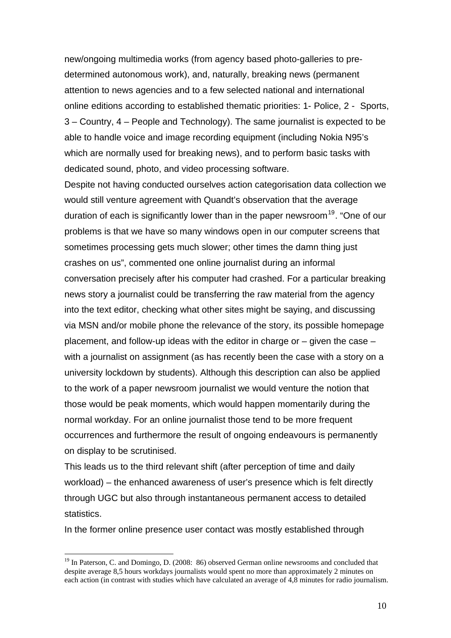new/ongoing multimedia works (from agency based photo-galleries to predetermined autonomous work), and, naturally, breaking news (permanent attention to news agencies and to a few selected national and international online editions according to established thematic priorities: 1- Police, 2 - Sports, 3 – Country, 4 – People and Technology). The same journalist is expected to be able to handle voice and image recording equipment (including Nokia N95's which are normally used for breaking news), and to perform basic tasks with dedicated sound, photo, and video processing software.

Despite not having conducted ourselves action categorisation data collection we would still venture agreement with Quandt's observation that the average duration of each is significantly lower than in the paper newsroom<sup>[19](#page-9-0)</sup>. "One of our problems is that we have so many windows open in our computer screens that sometimes processing gets much slower; other times the damn thing just crashes on us", commented one online journalist during an informal conversation precisely after his computer had crashed. For a particular breaking news story a journalist could be transferring the raw material from the agency into the text editor, checking what other sites might be saying, and discussing via MSN and/or mobile phone the relevance of the story, its possible homepage placement, and follow-up ideas with the editor in charge or – given the case – with a journalist on assignment (as has recently been the case with a story on a university lockdown by students). Although this description can also be applied to the work of a paper newsroom journalist we would venture the notion that those would be peak moments, which would happen momentarily during the normal workday. For an online journalist those tend to be more frequent occurrences and furthermore the result of ongoing endeavours is permanently on display to be scrutinised.

This leads us to the third relevant shift (after perception of time and daily workload) – the enhanced awareness of user's presence which is felt directly through UGC but also through instantaneous permanent access to detailed statistics.

In the former online presence user contact was mostly established through

<span id="page-9-0"></span><sup>&</sup>lt;sup>19</sup> In Paterson, C. and Domingo, D. (2008: 86) observed German online newsrooms and concluded that despite average 8,5 hours workdays journalists would spent no more than approximately 2 minutes on each action (in contrast with studies which have calculated an average of 4,8 minutes for radio journalism.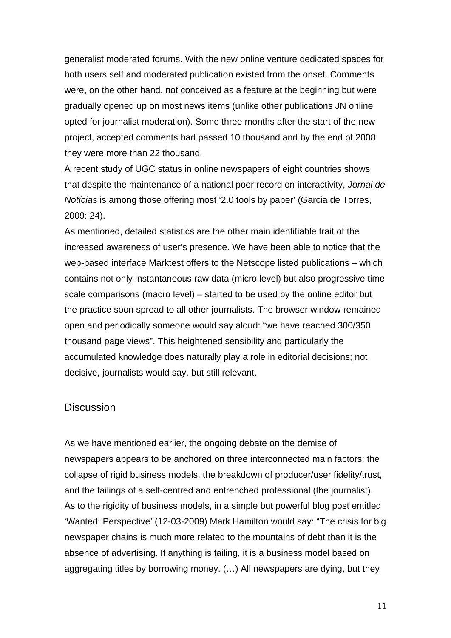generalist moderated forums. With the new online venture dedicated spaces for both users self and moderated publication existed from the onset. Comments were, on the other hand, not conceived as a feature at the beginning but were gradually opened up on most news items (unlike other publications JN online opted for journalist moderation). Some three months after the start of the new project, accepted comments had passed 10 thousand and by the end of 2008 they were more than 22 thousand.

A recent study of UGC status in online newspapers of eight countries shows that despite the maintenance of a national poor record on interactivity, *Jornal de Notícias* is among those offering most '2.0 tools by paper' (Garcia de Torres, 2009: 24).

As mentioned, detailed statistics are the other main identifiable trait of the increased awareness of user's presence. We have been able to notice that the web-based interface Marktest offers to the Netscope listed publications – which contains not only instantaneous raw data (micro level) but also progressive time scale comparisons (macro level) – started to be used by the online editor but the practice soon spread to all other journalists. The browser window remained open and periodically someone would say aloud: "we have reached 300/350 thousand page views". This heightened sensibility and particularly the accumulated knowledge does naturally play a role in editorial decisions; not decisive, journalists would say, but still relevant.

### **Discussion**

As we have mentioned earlier, the ongoing debate on the demise of newspapers appears to be anchored on three interconnected main factors: the collapse of rigid business models, the breakdown of producer/user fidelity/trust, and the failings of a self-centred and entrenched professional (the journalist). As to the rigidity of business models, in a simple but powerful blog post entitled 'Wanted: Perspective' (12-03-2009) Mark Hamilton would say: "The crisis for big newspaper chains is much more related to the mountains of debt than it is the absence of advertising. If anything is failing, it is a business model based on aggregating titles by borrowing money. (…) All newspapers are dying, but they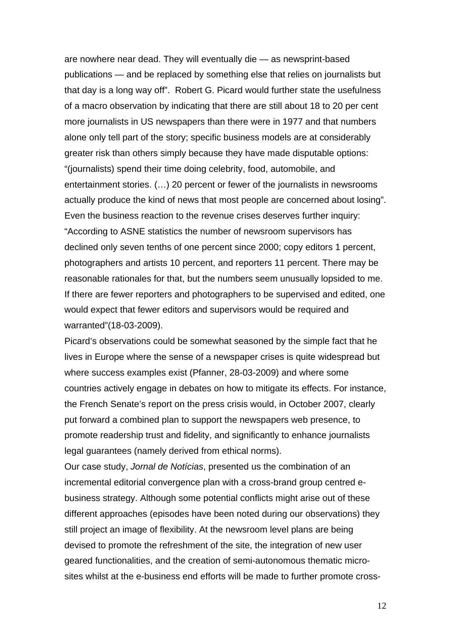are nowhere near dead. They will eventually die — as newsprint-based publications — and be replaced by something else that relies on journalists but that day is a long way off". Robert G. Picard would further state the usefulness of a macro observation by indicating that there are still about 18 to 20 per cent more journalists in US newspapers than there were in 1977 and that numbers alone only tell part of the story; specific business models are at considerably greater risk than others simply because they have made disputable options: "(journalists) spend their time doing celebrity, food, automobile, and entertainment stories. (…) 20 percent or fewer of the journalists in newsrooms actually produce the kind of news that most people are concerned about losing". Even the business reaction to the revenue crises deserves further inquiry: "According to ASNE statistics the number of newsroom supervisors has declined only seven tenths of one percent since 2000; copy editors 1 percent, photographers and artists 10 percent, and reporters 11 percent. There may be reasonable rationales for that, but the numbers seem unusually lopsided to me. If there are fewer reporters and photographers to be supervised and edited, one would expect that fewer editors and supervisors would be required and warranted"(18-03-2009).

Picard's observations could be somewhat seasoned by the simple fact that he lives in Europe where the sense of a newspaper crises is quite widespread but where success examples exist (Pfanner, 28-03-2009) and where some countries actively engage in debates on how to mitigate its effects. For instance, the French Senate's report on the press crisis would, in October 2007, clearly put forward a combined plan to support the newspapers web presence, to promote readership trust and fidelity, and significantly to enhance journalists legal guarantees (namely derived from ethical norms).

Our case study, *Jornal de Notícias*, presented us the combination of an incremental editorial convergence plan with a cross-brand group centred ebusiness strategy. Although some potential conflicts might arise out of these different approaches (episodes have been noted during our observations) they still project an image of flexibility. At the newsroom level plans are being devised to promote the refreshment of the site, the integration of new user geared functionalities, and the creation of semi-autonomous thematic microsites whilst at the e-business end efforts will be made to further promote cross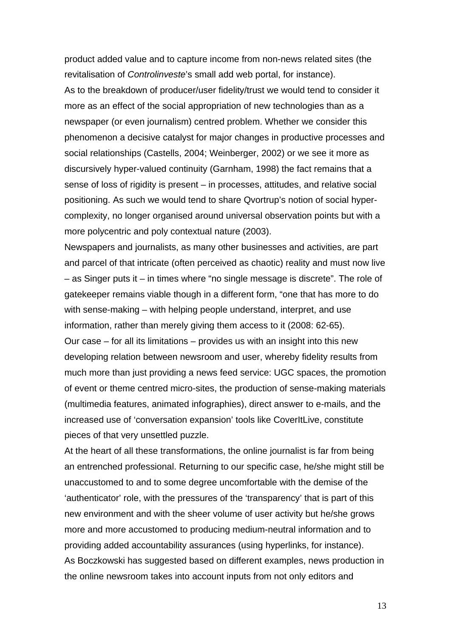product added value and to capture income from non-news related sites (the revitalisation of *Controlinveste*'s small add web portal, for instance).

As to the breakdown of producer/user fidelity/trust we would tend to consider it more as an effect of the social appropriation of new technologies than as a newspaper (or even journalism) centred problem. Whether we consider this phenomenon a decisive catalyst for major changes in productive processes and social relationships (Castells, 2004; Weinberger, 2002) or we see it more as discursively hyper-valued continuity (Garnham, 1998) the fact remains that a sense of loss of rigidity is present – in processes, attitudes, and relative social positioning. As such we would tend to share Qvortrup's notion of social hypercomplexity, no longer organised around universal observation points but with a more polycentric and poly contextual nature (2003).

Newspapers and journalists, as many other businesses and activities, are part and parcel of that intricate (often perceived as chaotic) reality and must now live – as Singer puts it – in times where "no single message is discrete". The role of gatekeeper remains viable though in a different form, "one that has more to do with sense-making – with helping people understand, interpret, and use information, rather than merely giving them access to it (2008: 62-65). Our case – for all its limitations – provides us with an insight into this new developing relation between newsroom and user, whereby fidelity results from much more than just providing a news feed service: UGC spaces, the promotion of event or theme centred micro-sites, the production of sense-making materials (multimedia features, animated infographies), direct answer to e-mails, and the increased use of 'conversation expansion' tools like CoverItLive, constitute pieces of that very unsettled puzzle.

At the heart of all these transformations, the online journalist is far from being an entrenched professional. Returning to our specific case, he/she might still be unaccustomed to and to some degree uncomfortable with the demise of the 'authenticator' role, with the pressures of the 'transparency' that is part of this new environment and with the sheer volume of user activity but he/she grows more and more accustomed to producing medium-neutral information and to providing added accountability assurances (using hyperlinks, for instance). As Boczkowski has suggested based on different examples, news production in the online newsroom takes into account inputs from not only editors and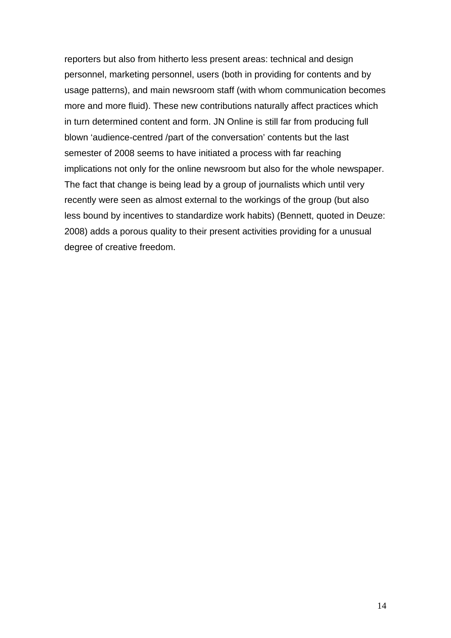reporters but also from hitherto less present areas: technical and design personnel, marketing personnel, users (both in providing for contents and by usage patterns), and main newsroom staff (with whom communication becomes more and more fluid). These new contributions naturally affect practices which in turn determined content and form. JN Online is still far from producing full blown 'audience-centred /part of the conversation' contents but the last semester of 2008 seems to have initiated a process with far reaching implications not only for the online newsroom but also for the whole newspaper. The fact that change is being lead by a group of journalists which until very recently were seen as almost external to the workings of the group (but also less bound by incentives to standardize work habits) (Bennett, quoted in Deuze: 2008) adds a porous quality to their present activities providing for a unusual degree of creative freedom.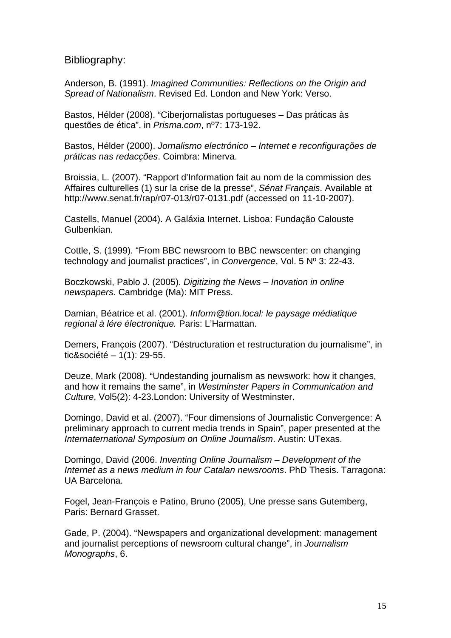Bibliography:

Anderson, B. (1991). *[Imagined Communities: Reflections on the Origin and](http://www.nationalismproject.org/books/a_b.htm#Anchor-Anderson-23526)  [Spread of Nationalism](http://www.nationalismproject.org/books/a_b.htm#Anchor-Anderson-23526)*. Revised Ed. London and New York: Verso.

Bastos, Hélder (2008). "Ciberjornalistas portugueses – Das práticas às questões de ética", in *Prisma.com*, nº7: 173-192.

Bastos, Hélder (2000). *Jornalismo electrónico – Internet e reconfigurações de práticas nas redacções*. Coimbra: Minerva.

Broissia, L. (2007). "Rapport d'Information fait au nom de la commission des Affaires culturelles (1) sur la crise de la presse", *Sénat Français*. Available at http://www.senat.fr/rap/r07-013/r07-0131.pdf (accessed on 11-10-2007).

Castells, Manuel (2004). A Galáxia Internet. Lisboa: Fundação Calouste Gulbenkian.

Cottle, S. (1999). "From BBC newsroom to BBC newscenter: on changing technology and journalist practices", in *Convergence*, Vol. 5 Nº 3: 22-43.

Boczkowski, Pablo J. (2005). *Digitizing the News – Inovation in online newspapers*. Cambridge (Ma): MIT Press.

Damian, Béatrice et al. (2001). *Inform@tion.local: le paysage médiatique regional à lére électronique.* Paris: L'Harmattan.

Demers, François (2007). "Déstructuration et restructuration du journalisme", in tic&société – 1(1): 29-55.

Deuze, Mark (2008). "Undestanding journalism as newswork: how it changes, and how it remains the same", in *Westminster Papers in Communication and Culture*, Vol5(2): 4-23.London: University of Westminster.

Domingo, David et al. (2007). "Four dimensions of Journalistic Convergence: A preliminary approach to current media trends in Spain", paper presented at the *Internaternational Symposium on Online Journalism*. Austin: UTexas.

Domingo, David (2006. *Inventing Online Journalism – Development of the Internet as a news medium in four Catalan newsrooms*. PhD Thesis. Tarragona: UA Barcelona.

Fogel, Jean-François e Patino, Bruno (2005), Une presse sans Gutemberg, Paris: Bernard Grasset.

Gade, P. (2004). "Newspapers and organizational development: management and journalist perceptions of newsroom cultural change", in *Journalism Monographs*, 6.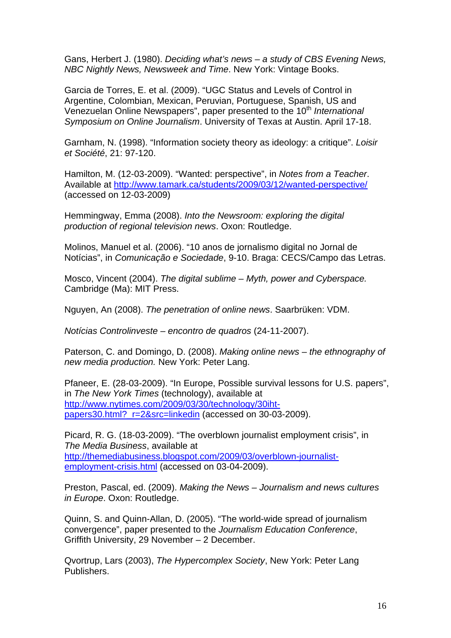Gans, Herbert J. (1980). *Deciding what's news – a study of CBS Evening News, NBC Nightly News, Newsweek and Time*. New York: Vintage Books.

Garcia de Torres, E. et al. (2009). "UGC Status and Levels of Control in Argentine, Colombian, Mexican, Peruvian, Portuguese, Spanish, US and Venezuelan Online Newspapers", paper presented to the 10<sup>th</sup> International *Symposium on Online Journalism*. University of Texas at Austin. April 17-18.

Garnham, N. (1998). "Information society theory as ideology: a critique". *Loisir et Société*, 21: 97-120.

Hamilton, M. (12-03-2009). "Wanted: perspective", in *Notes from a Teacher*. Available at<http://www.tamark.ca/students/2009/03/12/wanted-perspective/> (accessed on 12-03-2009)

Hemmingway, Emma (2008). *Into the Newsroom: exploring the digital production of regional television news*. Oxon: Routledge.

Molinos, Manuel et al. (2006). "10 anos de jornalismo digital no Jornal de Notícias", in *Comunicação e Sociedade*, 9-10. Braga: CECS/Campo das Letras.

Mosco, Vincent (2004). *The digital sublime – Myth, power and Cyberspace.* Cambridge (Ma): MIT Press.

Nguyen, An (2008). *The penetration of online news*. Saarbrüken: VDM.

*Notícias Controlinveste – encontro de quadros* (24-11-2007).

Paterson, C. and Domingo, D. (2008). *Making online news – the ethnography of new media production.* New York: Peter Lang.

Pfaneer, E. (28-03-2009). "In Europe, Possible survival lessons for U.S. papers", in *The New York Times* (technology), available at [http://www.nytimes.com/2009/03/30/technology/30iht](http://www.nytimes.com/2009/03/30/technology/30iht-papers30.html?_r=2&src=linkedin)[papers30.html?\\_r=2&src=linkedin](http://www.nytimes.com/2009/03/30/technology/30iht-papers30.html?_r=2&src=linkedin) (accessed on 30-03-2009).

Picard, R. G. (18-03-2009). "The overblown journalist employment crisis", in *The Media Business*, available at [http://themediabusiness.blogspot.com/2009/03/overblown-journalist](http://themediabusiness.blogspot.com/2009/03/overblown-journalist-employment-crisis.html)[employment-crisis.html](http://themediabusiness.blogspot.com/2009/03/overblown-journalist-employment-crisis.html) (accessed on 03-04-2009).

Preston, Pascal, ed. (2009). *Making the News – Journalism and news cultures in Europe*. Oxon: Routledge.

Quinn, S. and Quinn-Allan, D. (2005). "The world-wide spread of journalism convergence", paper presented to the *Journalism Education Conference*, Griffith University, 29 November – 2 December.

Qvortrup, Lars (2003), *The Hypercomplex Society*, New York: Peter Lang Publishers.